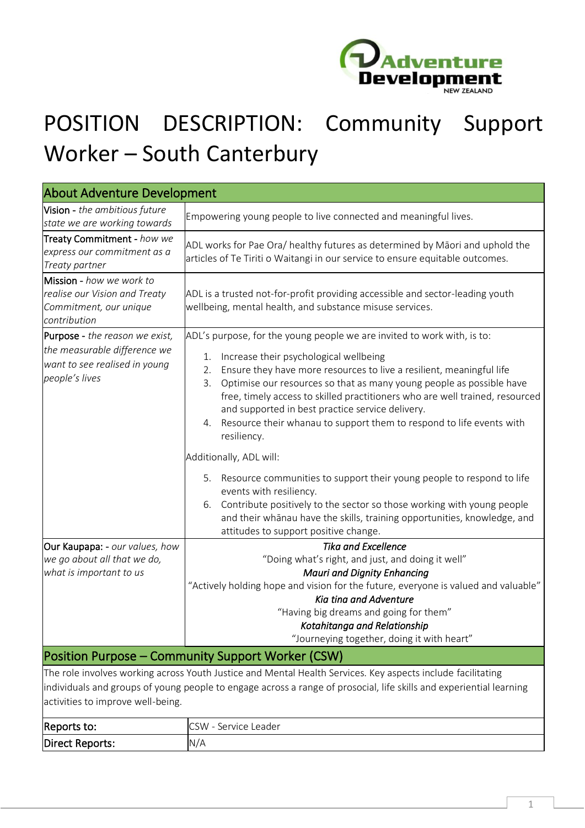

## POSITION DESCRIPTION: Community Support Worker – South Canterbury

| <b>About Adventure Development</b>                                                                                |                                                                                                                                                                                                                                                                                                                                                                                                                                                                                                                                                                                                                                                                                                                                           |  |  |
|-------------------------------------------------------------------------------------------------------------------|-------------------------------------------------------------------------------------------------------------------------------------------------------------------------------------------------------------------------------------------------------------------------------------------------------------------------------------------------------------------------------------------------------------------------------------------------------------------------------------------------------------------------------------------------------------------------------------------------------------------------------------------------------------------------------------------------------------------------------------------|--|--|
| Vision - the ambitious future<br>state we are working towards                                                     | Empowering young people to live connected and meaningful lives.                                                                                                                                                                                                                                                                                                                                                                                                                                                                                                                                                                                                                                                                           |  |  |
| Treaty Commitment - how we<br>express our commitment as a<br>Treaty partner                                       | ADL works for Pae Ora/ healthy futures as determined by Māori and uphold the<br>articles of Te Tiriti o Waitangi in our service to ensure equitable outcomes.                                                                                                                                                                                                                                                                                                                                                                                                                                                                                                                                                                             |  |  |
| Mission - how we work to<br>realise our Vision and Treaty<br>Commitment, our unique<br>contribution               | ADL is a trusted not-for-profit providing accessible and sector-leading youth<br>wellbeing, mental health, and substance misuse services.                                                                                                                                                                                                                                                                                                                                                                                                                                                                                                                                                                                                 |  |  |
| Purpose - the reason we exist,<br>the measurable difference we<br>want to see realised in young<br>people's lives | ADL's purpose, for the young people we are invited to work with, is to:<br>Increase their psychological wellbeing<br>1.<br>Ensure they have more resources to live a resilient, meaningful life<br>2.<br>Optimise our resources so that as many young people as possible have<br>3.<br>free, timely access to skilled practitioners who are well trained, resourced<br>and supported in best practice service delivery.<br>Resource their whanau to support them to respond to life events with<br>4.<br>resiliency.<br>Additionally, ADL will:<br>Resource communities to support their young people to respond to life<br>5.<br>events with resiliency.<br>Contribute positively to the sector so those working with young people<br>6. |  |  |
|                                                                                                                   | and their whānau have the skills, training opportunities, knowledge, and<br>attitudes to support positive change.                                                                                                                                                                                                                                                                                                                                                                                                                                                                                                                                                                                                                         |  |  |
| Our Kaupapa: - our values, how<br>we go about all that we do,<br>what is important to us                          | <b>Tika and Excellence</b><br>"Doing what's right, and just, and doing it well"<br><b>Mauri and Dignity Enhancing</b><br>"Actively holding hope and vision for the future, everyone is valued and valuable"<br>Kia tina and Adventure<br>"Having big dreams and going for them"<br>Kotahitanga and Relationship<br>"Journeying together, doing it with heart"                                                                                                                                                                                                                                                                                                                                                                             |  |  |
|                                                                                                                   | Position Purpose – Community Support Worker (CSW)                                                                                                                                                                                                                                                                                                                                                                                                                                                                                                                                                                                                                                                                                         |  |  |
| activities to improve well-being.                                                                                 | The role involves working across Youth Justice and Mental Health Services. Key aspects include facilitating<br>individuals and groups of young people to engage across a range of prosocial, life skills and experiential learning                                                                                                                                                                                                                                                                                                                                                                                                                                                                                                        |  |  |
| Reports to:                                                                                                       | CSW - Service Leader                                                                                                                                                                                                                                                                                                                                                                                                                                                                                                                                                                                                                                                                                                                      |  |  |
| Direct Reports:                                                                                                   | N/A                                                                                                                                                                                                                                                                                                                                                                                                                                                                                                                                                                                                                                                                                                                                       |  |  |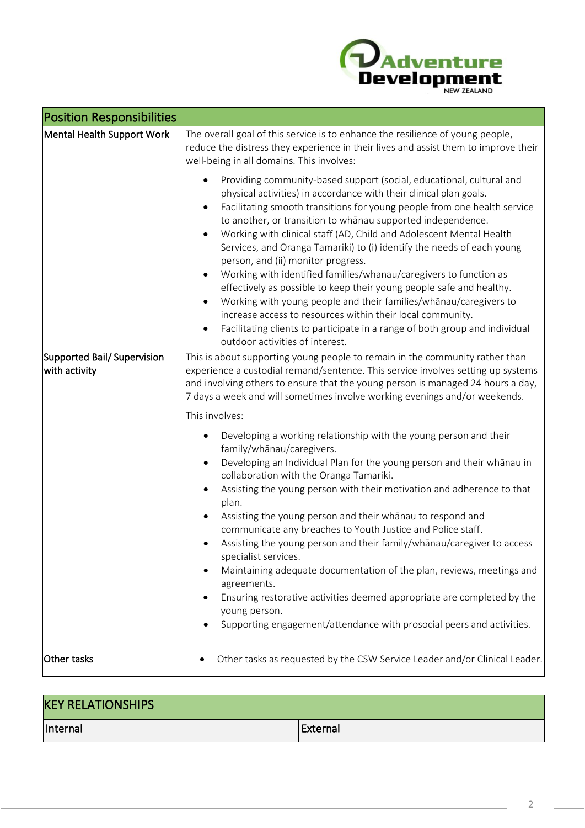

| <b>Position Responsibilities</b>            |                                                                                                                                                                                                                                                                                                                                                                                                                                                                                                                                                                                                                                                                                                                                                                                                                                                                                                                                                      |  |
|---------------------------------------------|------------------------------------------------------------------------------------------------------------------------------------------------------------------------------------------------------------------------------------------------------------------------------------------------------------------------------------------------------------------------------------------------------------------------------------------------------------------------------------------------------------------------------------------------------------------------------------------------------------------------------------------------------------------------------------------------------------------------------------------------------------------------------------------------------------------------------------------------------------------------------------------------------------------------------------------------------|--|
| Mental Health Support Work                  | The overall goal of this service is to enhance the resilience of young people,<br>reduce the distress they experience in their lives and assist them to improve their<br>well-being in all domains. This involves:                                                                                                                                                                                                                                                                                                                                                                                                                                                                                                                                                                                                                                                                                                                                   |  |
|                                             | Providing community-based support (social, educational, cultural and<br>٠<br>physical activities) in accordance with their clinical plan goals.<br>Facilitating smooth transitions for young people from one health service<br>$\bullet$<br>to another, or transition to whanau supported independence.<br>Working with clinical staff (AD, Child and Adolescent Mental Health<br>$\bullet$<br>Services, and Oranga Tamariki) to (i) identify the needs of each young<br>person, and (ii) monitor progress.<br>Working with identified families/whanau/caregivers to function as<br>$\bullet$<br>effectively as possible to keep their young people safe and healthy.<br>Working with young people and their families/whanau/caregivers to<br>$\bullet$<br>increase access to resources within their local community.<br>Facilitating clients to participate in a range of both group and individual<br>$\bullet$<br>outdoor activities of interest. |  |
| Supported Bail/Supervision<br>with activity | This is about supporting young people to remain in the community rather than<br>experience a custodial remand/sentence. This service involves setting up systems<br>and involving others to ensure that the young person is managed 24 hours a day,<br>7 days a week and will sometimes involve working evenings and/or weekends.<br>This involves:<br>Developing a working relationship with the young person and their<br>٠<br>family/whānau/caregivers.<br>Developing an Individual Plan for the young person and their whanau in<br>$\bullet$<br>collaboration with the Oranga Tamariki.                                                                                                                                                                                                                                                                                                                                                         |  |
|                                             | Assisting the young person with their motivation and adherence to that<br>$\bullet$<br>plan.<br>Assisting the young person and their whanau to respond and<br>$\bullet$<br>communicate any breaches to Youth Justice and Police staff.<br>Assisting the young person and their family/whanau/caregiver to access<br>$\bullet$<br>specialist services.<br>Maintaining adequate documentation of the plan, reviews, meetings and<br>agreements.<br>Ensuring restorative activities deemed appropriate are completed by the<br>young person.<br>Supporting engagement/attendance with prosocial peers and activities.                                                                                                                                                                                                                                                                                                                                   |  |
| Other tasks                                 | Other tasks as requested by the CSW Service Leader and/or Clinical Leader.                                                                                                                                                                                                                                                                                                                                                                                                                                                                                                                                                                                                                                                                                                                                                                                                                                                                           |  |
|                                             |                                                                                                                                                                                                                                                                                                                                                                                                                                                                                                                                                                                                                                                                                                                                                                                                                                                                                                                                                      |  |

 $\sim$ 

| <b>KEY RELATIONSHIPS</b> |          |
|--------------------------|----------|
| Internal                 | External |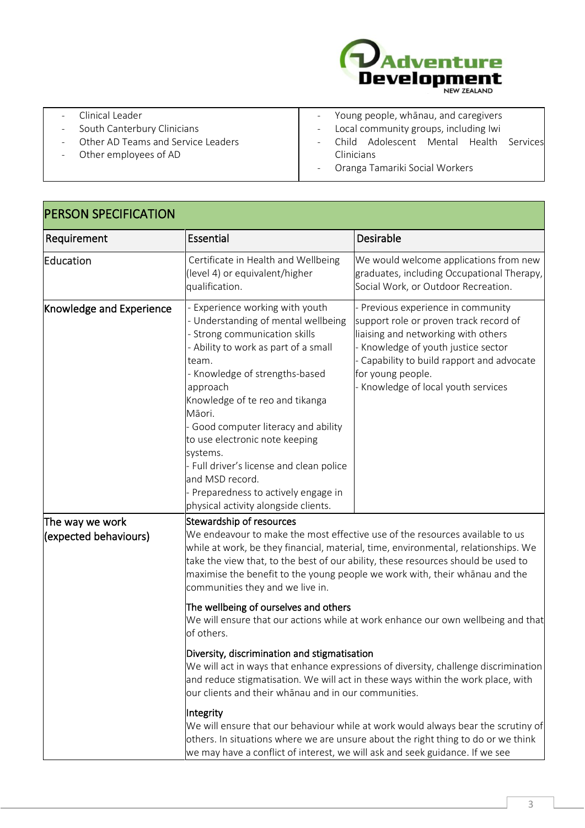

| Clinical Leader                                                | - Young people, whanau, and caregivers  |  |
|----------------------------------------------------------------|-----------------------------------------|--|
| South Canterbury Clinicians<br>$\overline{\phantom{a}}$        | - Local community groups, including Iwi |  |
| Other AD Teams and Service Leaders<br>$\overline{\phantom{a}}$ | Child Adolescent Mental Health Services |  |
| Other employees of AD                                          | Clinicians                              |  |
|                                                                | Oranga Tamariki Social Workers          |  |
|                                                                |                                         |  |

| Requirement                              | Essential                                                                                                                                                                                                                                                                                                                                                                                                                                                                            | Desirable                                                                                                                                                                                                                                                    |  |
|------------------------------------------|--------------------------------------------------------------------------------------------------------------------------------------------------------------------------------------------------------------------------------------------------------------------------------------------------------------------------------------------------------------------------------------------------------------------------------------------------------------------------------------|--------------------------------------------------------------------------------------------------------------------------------------------------------------------------------------------------------------------------------------------------------------|--|
| Education                                | Certificate in Health and Wellbeing<br>(level 4) or equivalent/higher<br>qualification.                                                                                                                                                                                                                                                                                                                                                                                              | We would welcome applications from new<br>graduates, including Occupational Therapy,<br>Social Work, or Outdoor Recreation.                                                                                                                                  |  |
| <b>Knowledge and Experience</b>          | - Experience working with youth<br>- Understanding of mental wellbeing<br>- Strong communication skills<br>- Ability to work as part of a small<br>team.<br>- Knowledge of strengths-based<br>approach<br>Knowledge of te reo and tikanga<br>Māori.<br>Good computer literacy and ability<br>to use electronic note keeping<br>systems.<br>- Full driver's license and clean police<br>and MSD record.<br>Preparedness to actively engage in<br>physical activity alongside clients. | Previous experience in community<br>support role or proven track record of<br>liaising and networking with others<br>Knowledge of youth justice sector<br>Capability to build rapport and advocate<br>for young people.<br>Knowledge of local youth services |  |
| The way we work<br>(expected behaviours) | Stewardship of resources<br>We endeavour to make the most effective use of the resources available to us<br>while at work, be they financial, material, time, environmental, relationships. We<br>take the view that, to the best of our ability, these resources should be used to<br>maximise the benefit to the young people we work with, their whānau and the<br>communities they and we live in.<br>The wellbeing of ourselves and others                                      |                                                                                                                                                                                                                                                              |  |
|                                          | We will ensure that our actions while at work enhance our own wellbeing and that<br>of others.<br>Diversity, discrimination and stigmatisation<br>We will act in ways that enhance expressions of diversity, challenge discrimination<br>and reduce stigmatisation. We will act in these ways within the work place, with                                                                                                                                                            |                                                                                                                                                                                                                                                              |  |
|                                          | our clients and their whānau and in our communities.<br>Integrity<br>We will ensure that our behaviour while at work would always bear the scrutiny of<br>others. In situations where we are unsure about the right thing to do or we think<br>we may have a conflict of interest, we will ask and seek guidance. If we see                                                                                                                                                          |                                                                                                                                                                                                                                                              |  |